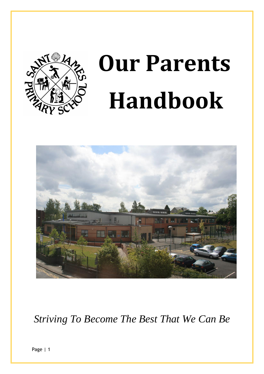

# **Our Parents Handbook**



*Striving To Become The Best That We Can Be*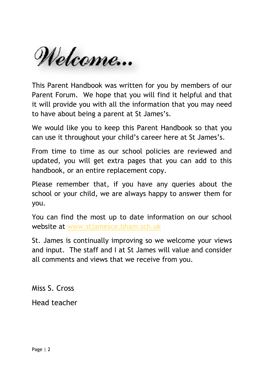Welcome...

This Parent Handbook was written for you by members of our Parent Forum. We hope that you will find it helpful and that it will provide you with all the information that you may need to have about being a parent at St James's.

We would like you to keep this Parent Handbook so that you can use it throughout your child's career here at St James's.

From time to time as our school policies are reviewed and updated, you will get extra pages that you can add to this handbook, or an entire replacement copy.

Please remember that, if you have any queries about the school or your child, we are always happy to answer them for you.

You can find the most up to date information on our school website at [www.stjamesce.bham.sch.uk](http://www.stjamesce.bham.sch.uk/)

St. James is continually improving so we welcome your views and input. The staff and I at St James will value and consider all comments and views that we receive from you.

Miss S. Cross

Head teacher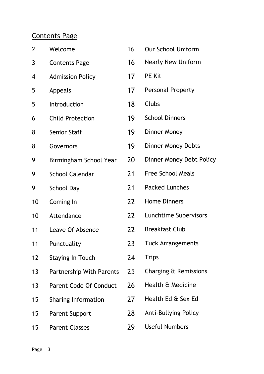## Contents Page

| $\overline{2}$ | Welcome                         | 16 | <b>Our School Uniform</b>   |
|----------------|---------------------------------|----|-----------------------------|
| 3              | <b>Contents Page</b>            | 16 | <b>Nearly New Uniform</b>   |
| 4              | <b>Admission Policy</b>         | 17 | <b>PE Kit</b>               |
| 5              | Appeals                         | 17 | <b>Personal Property</b>    |
| 5              | Introduction                    | 18 | Clubs                       |
| 6              | <b>Child Protection</b>         | 19 | <b>School Dinners</b>       |
| 8              | <b>Senior Staff</b>             | 19 | <b>Dinner Money</b>         |
| 8              | Governors                       | 19 | <b>Dinner Money Debts</b>   |
| 9              | Birmingham School Year          | 20 | Dinner Money Debt Policy    |
| 9              | <b>School Calendar</b>          | 21 | <b>Free School Meals</b>    |
| 9              | <b>School Day</b>               | 21 | <b>Packed Lunches</b>       |
| 10             | Coming In                       | 22 | <b>Home Dinners</b>         |
| 10             | Attendance                      | 22 | Lunchtime Supervisors       |
| 11             | Leave Of Absence                | 22 | <b>Breakfast Club</b>       |
| 11             | Punctuality                     | 23 | <b>Tuck Arrangements</b>    |
| 12             | <b>Staying In Touch</b>         | 24 | <b>Trips</b>                |
| 13             | <b>Partnership With Parents</b> | 25 | Charging & Remissions       |
| 13             | <b>Parent Code Of Conduct</b>   | 26 | Health & Medicine           |
| 15             | <b>Sharing Information</b>      | 27 | Health Ed & Sex Ed          |
| 15             | <b>Parent Support</b>           | 28 | <b>Anti-Bullying Policy</b> |
| 15             | <b>Parent Classes</b>           | 29 | <b>Useful Numbers</b>       |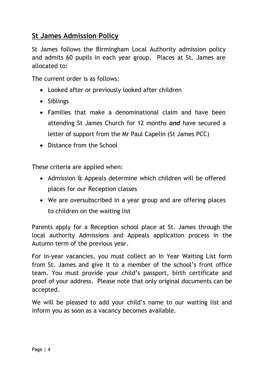#### **St James Admission Policy**

St James follows the Birmingham Local Authority admission policy and admits 60 pupils in each year group. Places at St. James are allocated to:

The current order is as follows:

- Looked after or previously looked after children
- Siblings
- Families that make a denominational claim and have been attending St James Church for 12 months *and* have secured a letter of support from the Mr Paul Capelin (St James PCC)
- Distance from the School

These criteria are applied when:

- Admission & Appeals determine which children will be offered places for our Reception classes
- We are oversubscribed in a year group and are offering places to children on the waiting list

Parents apply for a Reception school place at St. James through the local authority Admissions and Appeals application process in the Autumn term of the previous year.

For in-year vacancies, you must collect an In Year Waiting List form from St. James and give it to a member of the school's front office team. You must provide your child's passport, birth certificate and proof of your address. Please note that only original documents can be accepted.

We will be pleased to add your child's name to our waiting list and inform you as soon as a vacancy becomes available.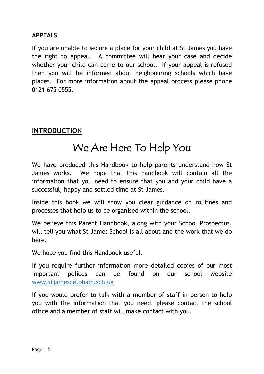#### **APPEALS**

If you are unable to secure a place for your child at St James you have the right to appeal. A committee will hear your case and decide whether your child can come to our school. If your appeal is refused then you will be informed about neighbouring schools which have places. For more information about the appeal process please phone 0121 675 0555.

#### **INTRODUCTION**

# We Are Here To Help You

We have produced this Handbook to help parents understand how St James works. We hope that this handbook will contain all the information that you need to ensure that you and your child have a successful, happy and settled time at St James.

Inside this book we will show you clear guidance on routines and processes that help us to be organised within the school.

We believe this Parent Handbook, along with your School Prospectus, will tell you what St James School is all about and the work that we do here.

We hope you find this Handbook useful.

If you require further information more detailed copies of our most important polices can be found on our school website [www.stjamesce.bham.sch.uk](http://www.stjamesce.bham.sch.uk/)

If you would prefer to talk with a member of staff in person to help you with the information that you need, please contact the school office and a member of staff will make contact with you.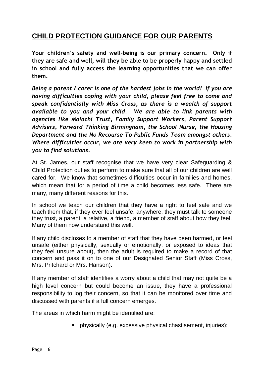### **CHILD PROTECTION GUIDANCE FOR OUR PARENTS**

**Your children's safety and well-being is our primary concern. Only if they are safe and well, will they be able to be properly happy and settled in school and fully access the learning opportunities that we can offer them.**

*Being a parent / carer is one of the hardest jobs in the world! If you are having difficulties coping with your child, please feel free to come and speak confidentially with Miss Cross, as there is a wealth of support available to you and your child. We are able to link parents with agencies like Malachi Trust, Family Support Workers, Parent Support Advisers, Forward Thinking Birmingham, the School Nurse, the Housing Department and the No Recourse To Public Funds Team amongst others. Where difficulties occur, we are very keen to work in partnership with you to find solutions.*

At St. James, our staff recognise that we have very clear Safeguarding & Child Protection duties to perform to make sure that all of our children are well cared for. We know that sometimes difficulties occur in families and homes, which mean that for a period of time a child becomes less safe. There are many, many different reasons for this.

In school we teach our children that they have a right to feel safe and we teach them that, if they ever feel unsafe, anywhere, they must talk to someone they trust, a parent, a relative, a friend, a member of staff about how they feel. Many of them now understand this well.

If any child discloses to a member of staff that they have been harmed, or feel unsafe (either physically, sexually or emotionally, or exposed to ideas that they feel unsure about), then the adult is required to make a record of that concern and pass it on to one of our Designated Senior Staff (Miss Cross, Mrs. Pritchard or Mrs. Hanson).

If any member of staff identifies a worry about a child that may not quite be a high level concern but could become an issue, they have a professional responsibility to log their concern, so that it can be monitored over time and discussed with parents if a full concern emerges.

The areas in which harm might be identified are:

physically (e.g. excessive physical chastisement, injuries);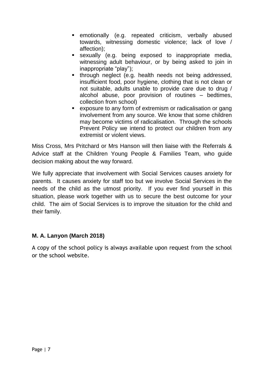- **EX EMOTALLY FIG.** repeated criticism, verbally abused towards, witnessing domestic violence; lack of love / affection);
- sexually (e.g. being exposed to inappropriate media, witnessing adult behaviour, or by being asked to join in inappropriate "play");
- through neglect (e.g. health needs not being addressed, insufficient food, poor hygiene, clothing that is not clean or not suitable, adults unable to provide care due to drug / alcohol abuse, poor provision of routines – bedtimes, collection from school)
- exposure to any form of extremism or radicalisation or gang involvement from any source. We know that some children may become victims of radicalisation. Through the schools Prevent Policy we intend to protect our children from any extremist or violent views.

Miss Cross, Mrs Pritchard or Mrs Hanson will then liaise with the Referrals & Advice staff at the Children Young People & Families Team, who guide decision making about the way forward.

We fully appreciate that involvement with Social Services causes anxiety for parents. It causes anxiety for staff too but we involve Social Services in the needs of the child as the utmost priority. If you ever find yourself in this situation, please work together with us to secure the best outcome for your child. The aim of Social Services is to improve the situation for the child and their family.

#### **M. A. Lanyon (March 2018)**

A copy of the school policy is always available upon request from the school or the school website.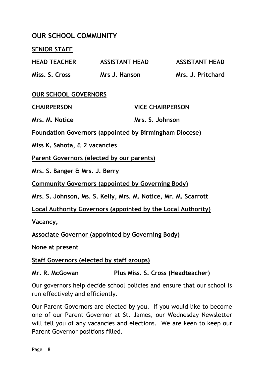#### **OUR SCHOOL COMMUNITY**

#### **SENIOR STAFF**

| <b>HEAD TEACHER</b>                                           | <b>ASSISTANT HEAD</b>   | <b>ASSISTANT HEAD</b> |  |  |  |
|---------------------------------------------------------------|-------------------------|-----------------------|--|--|--|
| Miss. S. Cross                                                | Mrs J. Hanson           | Mrs. J. Pritchard     |  |  |  |
| <b>OUR SCHOOL GOVERNORS</b>                                   |                         |                       |  |  |  |
| <b>CHAIRPERSON</b>                                            | <b>VICE CHAIRPERSON</b> |                       |  |  |  |
| Mrs. M. Notice                                                | Mrs. S. Johnson         |                       |  |  |  |
| <b>Foundation Governors (appointed by Birmingham Diocese)</b> |                         |                       |  |  |  |
| Miss K. Sahota, & 2 vacancies                                 |                         |                       |  |  |  |
| Parent Governors (elected by our parents)                     |                         |                       |  |  |  |
| Mrs. S. Banger & Mrs. J. Berry                                |                         |                       |  |  |  |

**Community Governors (appointed by Governing Body)**

**Mrs. S. Johnson, Ms. S. Kelly, Mrs. M. Notice, Mr. M. Scarrott**

**Local Authority Governors (appointed by the Local Authority)**

**Vacancy,**

**Associate Governor (appointed by Governing Body)**

**None at present**

**Staff Governors (elected by staff groups)**

**Mr. R. McGowan Plus Miss. S. Cross (Headteacher)**

Our governors help decide school policies and ensure that our school is run effectively and efficiently.

Our Parent Governors are elected by you. If you would like to become one of our Parent Governor at St. James, our Wednesday Newsletter will tell you of any vacancies and elections. We are keen to keep our Parent Governor positions filled.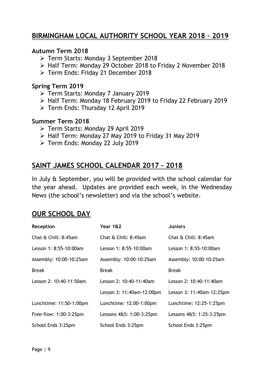### **BIRMINGHAM LOCAL AUTHORITY SCHOOL YEAR 2018 – 2019**

#### **Autumn Term 2018**

- Term Starts: Monday 3 September 2018
- Half Term: Monday 29 October 2018 to Friday 2 November 2018
- Term Ends: Friday 21 December 2018

#### **Spring Term 2019**

- Term Starts: Monday 7 January 2019
- Half Term: Monday 18 February 2019 to Friday 22 February 2019
- Term Ends: Thursday 12 April 2019

#### **Summer Term 2018**

- Term Starts: Monday 29 April 2019
- $\triangleright$  Half Term: Monday 27 May 2019 to Friday 31 May 2019
- Term Ends: Monday 22 July 2019

#### **SAINT JAMES SCHOOL CALENDAR 2017 – 2018**

In July & September, you will be provided with the school calendar for the year ahead. Updates are provided each week, in the Wednesday News (the school's newsletter) and via the school's website.

#### **OUR SCHOOL DAY**

| Reception               | Year 1&2                  | <b>Juniors</b>            |
|-------------------------|---------------------------|---------------------------|
| Chat & Chill: 8:45am    | Chat & Chill: 8:45am      | Chat & Chill: 8:45am      |
| Lesson 1: 8:55-10:00am  | Lesson 1: 8:55-10:00am    | Lesson 1: 8:55-10:00am    |
| Assembly: 10:00-10:25am | Assembly: 10:00-10:25am   | Assembly: 10:00-10:25am   |
| <b>Break</b>            | <b>Break</b>              | <b>Break</b>              |
| Lesson 2: 10:40-11:50am | Lesson 2: 10:40-11:40am   | Lesson 2: 10:40-11:40am   |
|                         | Lesson 3: 11:40am-12:00pm | Lesson 3: 11:40am-12:25pm |
| Lunchtime: 11:50-1:00pm | Lunchtime: 12:00-1:00pm   | Lunchtime: 12:25-1:25pm   |
| Free-flow: 1:00-3:25pm  | Lessons 4&5: 1:00-3:25pm  | Lessons 4&5: 1:25-3:25pm  |
| School Ends 3:25pm      | School Ends 3:25pm        | School Ends 3:25pm        |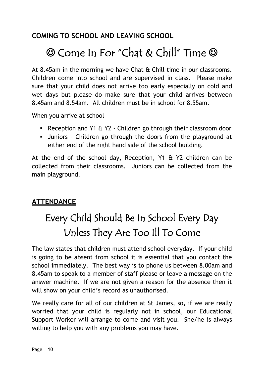# **COMING TO SCHOOL AND LEAVING SCHOOL**

# © Come In For "Chat & Chill" Time ©

At 8.45am in the morning we have Chat & Chill time in our classrooms. Children come into school and are supervised in class. Please make sure that your child does not arrive too early especially on cold and wet days but please do make sure that your child arrives between 8.45am and 8.54am. All children must be in school for 8.55am.

When you arrive at school

- Reception and Y1 & Y2 Children go through their classroom door
- Juniors Children go through the doors from the playground at either end of the right hand side of the school building.

At the end of the school day, Reception, Y1 & Y2 children can be collected from their classrooms. Juniors can be collected from the main playground.

#### **ATTENDANCE**

# Every Child Should Be In School Every Day Unless They Are Too Ill To Come

The law states that children must attend school everyday. If your child is going to be absent from school it is essential that you contact the school immediately. The best way is to phone us between 8.00am and 8.45am to speak to a member of staff please or leave a message on the answer machine. If we are not given a reason for the absence then it will show on your child's record as unauthorised.

We really care for all of our children at St James, so, if we are really worried that your child is regularly not in school, our Educational Support Worker will arrange to come and visit you. She/he is always willing to help you with any problems you may have.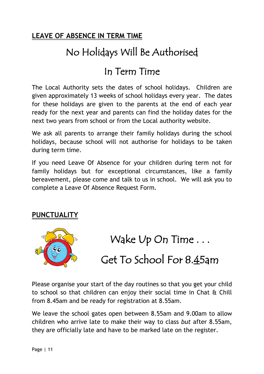# **LEAVE OF ABSENCE IN TERM TIME**

# No Holidays Will Be Authorised

# In Term Time

The Local Authority sets the dates of school holidays. Children are given approximately 13 weeks of school holidays every year. The dates for these holidays are given to the parents at the end of each year ready for the next year and parents can find the holiday dates for the next two years from school or from the Local authority website.

We ask all parents to arrange their family holidays during the school holidays, because school will not authorise for holidays to be taken during term time.

If you need Leave Of Absence for your children during term not for family holidays but for exceptional circumstances, like a family bereavement, please come and talk to us in school. We will ask you to complete a Leave Of Absence Request Form.

#### **PUNCTUALITY**



Wake Up On Time . . .

Get To School For 8.45am

Please organise your start of the day routines so that you get your child to school so that children can enjoy their social time in Chat & Chill from 8.45am and be ready for registration at 8.55am.

We leave the school gates open between 8.55am and 9.00am to allow children who arrive late to make their way to class *but* after 8.55am, they are officially late and have to be marked late on the register.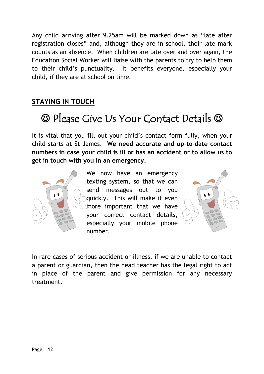Any child arriving after 9.25am will be marked down as "late after registration closes" and, although they are in school, their late mark counts as an absence. When children are late over and over again, the Education Social Worker will liaise with the parents to try to help them to their child's punctuality. It benefits everyone, especially your child, if they are at school on time.

## **STAYING IN TOUCH**

# Please Give Us Your Contact Details

It is vital that you fill out your child's contact form fully, when your child starts at St James. **We need accurate and up-to-date contact numbers in case your child is ill or has an accident or to allow us to get in touch with you in an emergency.** 



We now have an emergency texting system, so that we can send messages out to you quickly. This will make it even more important that we have your correct contact details, especially your mobile phone number.



In rare cases of serious accident or illness, if we are unable to contact a parent or guardian, then the head teacher has the legal right to act in place of the parent and give permission for any necessary treatment.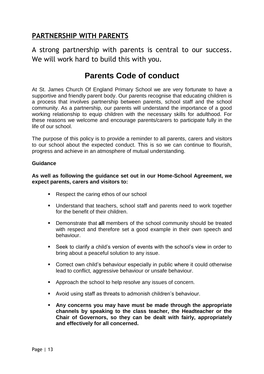## **PARTNERSHIP WITH PARENTS**

A strong partnership with parents is central to our success. We will work hard to build this with you.

# **Parents Code of conduct**

At St. James Church Of England Primary School we are very fortunate to have a supportive and friendly parent body. Our parents recognise that educating children is a process that involves partnership between parents, school staff and the school community. As a partnership, our parents will understand the importance of a good working relationship to equip children with the necessary skills for adulthood. For these reasons we welcome and encourage parents/carers to participate fully in the life of our school.

The purpose of this policy is to provide a reminder to all parents, carers and visitors to our school about the expected conduct. This is so we can continue to flourish, progress and achieve in an atmosphere of mutual understanding.

#### **Guidance**

**As well as following the guidance set out in our Home-School Agreement, we expect parents, carers and visitors to:**

- Respect the caring ethos of our school
- Understand that teachers, school staff and parents need to work together for the benefit of their children.
- Demonstrate that **all** members of the school community should be treated with respect and therefore set a good example in their own speech and behaviour.
- Seek to clarify a child's version of events with the school's view in order to bring about a peaceful solution to any issue.
- Correct own child's behaviour especially in public where it could otherwise lead to conflict, aggressive behaviour or unsafe behaviour.
- **Approach the school to help resolve any issues of concern.**
- Avoid using staff as threats to admonish children's behaviour.
- **Any concerns you may have must be made through the appropriate channels by speaking to the class teacher, the Headteacher or the Chair of Governors, so they can be dealt with fairly, appropriately and effectively for all concerned.**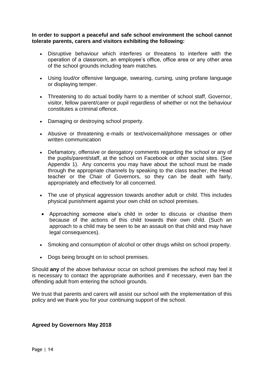#### **In order to support a peaceful and safe school environment the school cannot tolerate parents, carers and visitors exhibiting the following:**

- Disruptive behaviour which interferes or threatens to interfere with the operation of a classroom, an employee's office, office area or any other area of the school grounds including team matches.
- Using loud/or offensive language, swearing, cursing, using profane language or displaying temper.
- Threatening to do actual bodily harm to a member of school staff, Governor, visitor, fellow parent/carer or pupil regardless of whether or not the behaviour constitutes a criminal offence.
- Damaging or destroying school property.
- Abusive or threatening e-mails or text/voicemail/phone messages or other written communication
- Defamatory, offensive or derogatory comments regarding the school or any of the pupils/parent/staff, at the school on Facebook or other social sites. (See Appendix 1). Any concerns you may have about the school must be made through the appropriate channels by speaking to the class teacher, the Head teacher or the Chair of Governors, so they can be dealt with fairly, appropriately and effectively for all concerned.
- The use of physical aggression towards another adult or child. This includes physical punishment against your own child on school premises.
- Approaching someone else's child in order to discuss or chastise them because of the actions of this child towards their own child. (Such an approach to a child may be seen to be an assault on that child and may have legal consequences).
- Smoking and consumption of alcohol or other drugs whilst on school property.
- Dogs being brought on to school premises.

Should **any** of the above behaviour occur on school premises the school may feel it is necessary to contact the appropriate authorities and if necessary, even ban the offending adult from entering the school grounds.

We trust that parents and carers will assist our school with the implementation of this policy and we thank you for your continuing support of the school.

#### **Agreed by Governors May 2018**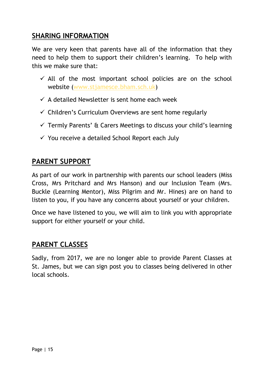#### **SHARING INFORMATION**

We are very keen that parents have all of the information that they need to help them to support their children's learning. To help with this we make sure that:

- $\checkmark$  All of the most important school policies are on the school website [\(www.stjamesce.bham.sch.uk\)](http://www.stjamesce.bham.sch.uk/)
- $\checkmark$  A detailed Newsletter is sent home each week
- $\checkmark$  Children's Curriculum Overviews are sent home regularly
- $\checkmark$  Termly Parents' & Carers Meetings to discuss your child's learning
- $\checkmark$  You receive a detailed School Report each July

#### **PARENT SUPPORT**

As part of our work in partnership with parents our school leaders (Miss Cross, Mrs Pritchard and Mrs Hanson) and our Inclusion Team (Mrs. Buckle (Learning Mentor), Miss Pilgrim and Mr. Hines) are on hand to listen to you, if you have any concerns about yourself or your children.

Once we have listened to you, we will aim to link you with appropriate support for either yourself or your child.

#### **PARENT CLASSES**

Sadly, from 2017, we are no longer able to provide Parent Classes at St. James, but we can sign post you to classes being delivered in other local schools.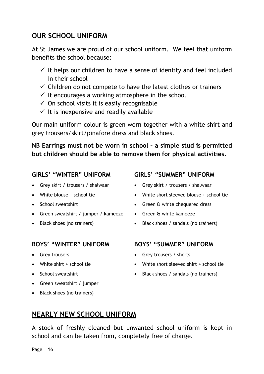#### **OUR SCHOOL UNIFORM**

At St James we are proud of our school uniform. We feel that uniform benefits the school because:

- $\checkmark$  It helps our children to have a sense of identity and feel included in their school
- $\checkmark$  Children do not compete to have the latest clothes or trainers
- $\checkmark$  It encourages a working atmosphere in the school
- $\checkmark$  On school visits it is easily recognisable
- $\checkmark$  It is inexpensive and readily available

Our main uniform colour is green worn together with a white shirt and grey trousers/skirt/pinafore dress and black shoes.

**NB Earrings must not be worn in school – a simple stud is permitted but children should be able to remove them for physical activities.** 

#### **GIRLS' "WINTER" UNIFORM**

- Grey skirt / trousers / shalwaar
- White blouse + school tie
- School sweatshirt
- Green sweatshirt / jumper / kameeze
- Black shoes (no trainers)

#### **BOYS' "WINTER" UNIFORM**

- **Grey trousers**
- White shirt + school tie
- School sweatshirt
- Green sweatshirt / jumper
- Black shoes (no trainers)

#### **GIRLS' "SUMMER" UNIFORM**

- Grey skirt / trousers / shalwaar
- White short sleeved blouse + school tie
- Green & white chequered dress
- Green & white kameeze
	- Black shoes / sandals (no trainers)

#### **BOYS' "SUMMER" UNIFORM**

- Grey trousers / shorts
- White short sleeved shirt + school tie
- Black shoes / sandals (no trainers)

# **NEARLY NEW SCHOOL UNIFORM**

A stock of freshly cleaned but unwanted school uniform is kept in school and can be taken from, completely free of charge.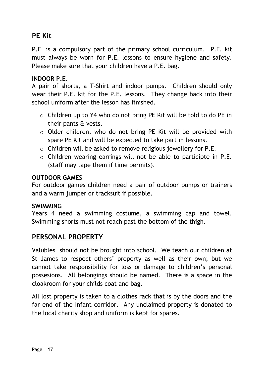# **PE Kit**

P.E. is a compulsory part of the primary school curriculum. P.E. kit must always be worn for P.E. lessons to ensure hygiene and safety. Please make sure that your children have a P.E. bag.

#### **INDOOR P.E.**

A pair of shorts, a T-Shirt and indoor pumps. Children should only wear their P.E. kit for the P.E. lessons. They change back into their school uniform after the lesson has finished.

- $\circ$  Children up to Y4 who do not bring PE Kit will be told to do PE in their pants & vests.
- o Older children, who do not bring PE Kit will be provided with spare PE Kit and will be expected to take part in lessons.
- o Children will be asked to remove religious jewellery for P.E.
- o Children wearing earrings will not be able to participte in P.E. (staff may tape them if time permits).

#### **OUTDOOR GAMES**

For outdoor games children need a pair of outdoor pumps or trainers and a warm jumper or tracksuit if possible.

#### **SWIMMING**

Years 4 need a swimming costume, a swimming cap and towel. Swimming shorts must not reach past the bottom of the thigh.

#### **PERSONAL PROPERTY**

Valubles should not be brought into school. We teach our children at St James to respect others' property as well as their own; but we cannot take responsibility for loss or damage to children's personal possesions. All belongings should be named. There is a space in the cloakroom for your childs coat and bag.

All lost property is taken to a clothes rack that is by the doors and the far end of the Infant corridor. Any unclaimed property is donated to the local charity shop and uniform is kept for spares.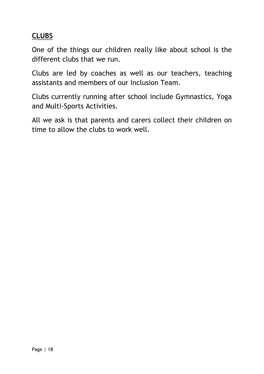# **CLUBS**

One of the things our children really like about school is the different clubs that we run.

Clubs are led by coaches as well as our teachers, teaching assistants and members of our Inclusion Team.

Clubs currently running after school include Gymnastics, Yoga and Multi-Sports Activities.

All we ask is that parents and carers collect their children on time to allow the clubs to work well.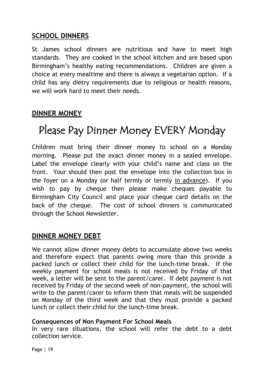#### **SCHOOL DINNERS**

St James school dinners are nutritious and have to meet high standards. They are cooked in the school kitchen and are based upon Birmingham's healthy eating recommendations. Children are given a choice at every mealtime and there is always a vegetarian option. If a child has any dietry requirements due to religious or health reasons, we will work hard to meet their needs.

## **DINNER MONEY**

# Please Pay Dinner Money EVERY Monday

Children must bring their dinner money to school on a Monday morning. Please put the exact dinner money in a sealed envelope. Label the envelope clearly with your child's name and class on the front. Your should then post the envelope into the collection box in the foyer on a Monday (or half termly or termly in advance). If you wish to pay by cheque then please make cheques payable to Birmingham City Council and place your cheque card details on the back of the cheque. The cost of school dinners is communicated through the School Newsletter.

#### **DINNER MONEY DEBT**

We cannot allow dinner money debts to accumulate above two weeks and therefore expect that parents owing more than this provide a packed lunch or collect their child for the lunch-time break. If the weekly payment for school meals is not received by Friday of that week, a letter will be sent to the parent/carer. If debt payment is not received by Friday of the second week of non-payment, the school will write to the parent/carer to inform them that meals will be suspended on Monday of the third week and that they must provide a packed lunch or collect their child for the lunch-time break.

#### **Consequences of Non Payment For School Meals**

In very rare situations, the school will refer the debt to a debt collection service.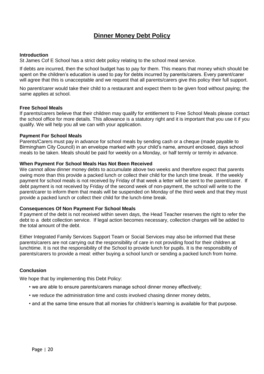#### **Dinner Money Debt Policy Dinner Money Debt Policy**

#### **Introduction**

St James Cof E School has a strict debt policy relating to the school meal service.

If debts are incurred, then the school budget has to pay for them. This means that money which should be spent on the children's education is used to pay for debts incurred by parents/carers. Every parent/carer will agree that this is unacceptable and we request that all parents/carers give this policy their full support.

No parent/carer would take their child to a restaurant and expect them to be given food without paying; the same applies at school.

#### **Free School Meals**

If parents/carers believe that their children may qualify for entitlement to Free School Meals please contact the school office for more details. This allowance is a statutory right and it is important that you use it if you qualify. We will help you all we can with your application.

#### **Payment For School Meals**

Parents/Carers must pay in advance for school meals by sending cash or a cheque (made payable to Birmingham City Council) in an envelope marked with your child's name, amount enclosed, days school meals to be taken. Meals should be paid for weekly on a Monday, or half termly or termly in advance.

#### **When Payment For School Meals Has Not Been Received**

We cannot allow dinner money debts to accumulate above two weeks and therefore expect that parents owing more than this provide a packed lunch or collect their child for the lunch time break. If the weekly payment for school meals is not received by Friday of that week a letter will be sent to the parent/carer. If debt payment is not received by Friday of the second week of non-payment, the school will write to the parent/carer to inform them that meals will be suspended on Monday of the third week and that they must provide a packed lunch or collect their child for the lunch-time break.

#### **Consequences Of Non Payment For School Meals**

If payment of the debt is not received within seven days, the Head Teacher reserves the right to refer the debt to a debt collection service. If legal action becomes necessary, collection charges will be added to the total amount of the debt.

Either Integrated Family Services Support Team or Social Services may also be informed that these parents/carers are not carrying out the responsibility of care in not providing food for their children at lunchtime. It is not the responsibility of the School to provide lunch for pupils. It is the responsibility of parents/carers to provide a meal: either buying a school lunch or sending a packed lunch from home.

#### **Conclusion**

We hope that by implementing this Debt Policy:

- we are able to ensure parents/carers manage school dinner money effectively;
- we reduce the administration time and costs involved chasing dinner money debts,
- and at the same time ensure that all monies for children's learning is available for that purpose.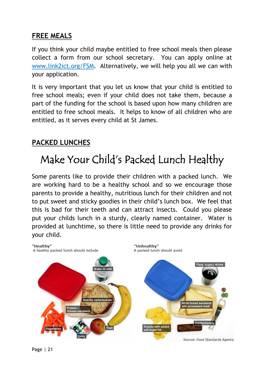### **FREE MEALS**

If you think your child maybe entitled to free school meals then please collect a form from our school secretary. You can apply online at [www.link2ict.org/FSM.](http://www.link2ict.org/FSM) Alternatively, we will help you all we can with your application.

It is very important that you let us know that your child is entitled to free school meals; even if your child does not take them, because a part of the funding for the school is based upon how many children are entitled to free school meals. It helps to know of all children who are entitled, as it serves every child at St James.

## **PACKED LUNCHES**

# Make Your Child's Packed Lunch Healthy

Some parents like to provide their children with a packed lunch. We are working hard to be a healthy school and so we encourage those parents to provide a healthy, nutritious lunch for their children and not to put sweet and sticky goodies in their child's lunch box. We feel that this is bad for their teeth and can attract insects. Could you please put your childs lunch in a sturdy, clearly named container. Water is provided at lunchtime, so there is little need to provide any drinks for your child.

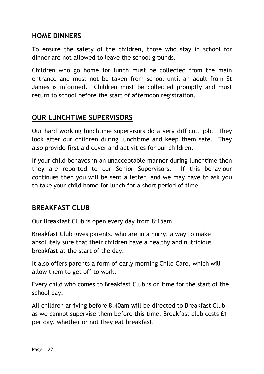#### **HOME DINNERS**

To ensure the safety of the children, those who stay in school for dinner are not allowed to leave the school grounds.

Children who go home for lunch must be collected from the main entrance and must not be taken from school until an adult from St James is informed. Children must be collected promptly and must return to school before the start of afternoon registration.

#### **OUR LUNCHTIME SUPERVISORS**

Our hard working lunchtime supervisors do a very difficult job. They look after our children during lunchtime and keep them safe. They also provide first aid cover and activities for our children.

If your child behaves in an unacceptable manner during lunchtime then they are reported to our Senior Supervisors. If this behaviour continues then you will be sent a letter, and we may have to ask you to take your child home for lunch for a short period of time.

#### **BREAKFAST CLUB**

Our Breakfast Club is open every day from 8:15am.

Breakfast Club gives parents, who are in a hurry, a way to make absolutely sure that their children have a healthy and nutricious breakfast at the start of the day.

It also offers parents a form of early morning Child Care, which will allow them to get off to work.

Every child who comes to Breakfast Club is on time for the start of the school day.

All children arriving before 8.40am will be directed to Breakfast Club as we cannot supervise them before this time. Breakfast club costs £1 per day, whether or not they eat breakfast.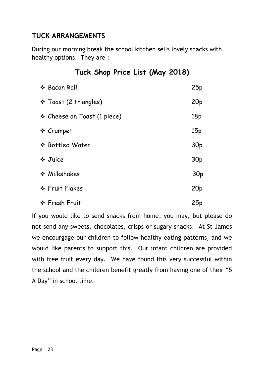## **TUCK ARRANGEMENTS**

During our morning break the school kitchen sells lovely snacks with healthy options. They are :

| $1.4011$ $0.100$ $0.1001$ $0.0101$ $0.001$ |                 |
|--------------------------------------------|-----------------|
| ❖ Bacon Roll                               | 25p             |
| ❖ Toast (2 triangles)                      | 20 <sub>p</sub> |
| $\div$ Cheese on Toast (1 piece)           | 18p             |
| ❖ Crumpet                                  | 15p             |
| ❖ Bottled Water                            | 30 <sub>p</sub> |
| ❖ Juice                                    | 30 <sub>p</sub> |
| ❖ Milkshakes                               | 30 <sub>p</sub> |
| ❖ Fruit Flakes                             | 20 <sub>p</sub> |
| ❖ Fresh Fruit                              | 25p             |

If you would like to send snacks from home, you may, but please do not send any sweets, chocolates, crisps or sugary snacks. At St James we encourgage our children to follow healthy eating patterns, and we would like parents to support this. Our infant children are provided with free fruit every day. We have found this very successful within the school and the children benefit greatly from having one of their "5 A Day" in school time.

# **Tuck Shop Price List (May 2018)**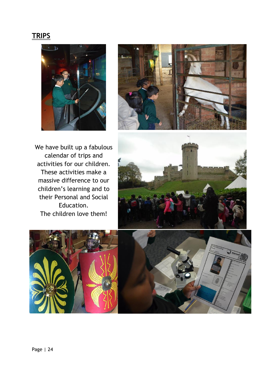#### **TRIPS**





We have built up a fabulous calendar of trips and activities for our children. These activities make a massive difference to our children's learning and to their Personal and Social Education. The children love them!





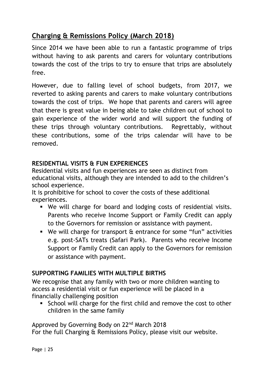# **Charging & Remissions Policy (March 2018)**

Since 2014 we have been able to run a fantastic programme of trips without having to ask parents and carers for voluntary contributions towards the cost of the trips to try to ensure that trips are absolutely free.

However, due to falling level of school budgets, from 2017, we reverted to asking parents and carers to make voluntary contributions towards the cost of trips. We hope that parents and carers will agree that there is great value in being able to take children out of school to gain experience of the wider world and will support the funding of these trips through voluntary contributions. Regrettably, without these contributions, some of the trips calendar will have to be removed.

#### **RESIDENTIAL VISITS & FUN EXPERIENCES**

Residential visits and fun experiences are seen as distinct from educational visits, although they are intended to add to the children's school experience.

It is prohibitive for school to cover the costs of these additional experiences.

- We will charge for board and lodging costs of residential visits. Parents who receive Income Support or Family Credit can apply to the Governors for remission or assistance with payment.
- We will charge for transport & entrance for some "fun" activities e.g. post-SATs treats (Safari Park). Parents who receive Income Support or Family Credit can apply to the Governors for remission or assistance with payment.

#### **SUPPORTING FAMILIES WITH MULTIPLE BIRTHS**

We recognise that any family with two or more children wanting to access a residential visit or fun experience will be placed in a financially challenging position

 School will charge for the first child and remove the cost to other children in the same family

Approved by Governing Body on 22<sup>nd</sup> March 2018 For the full Charging & Remissions Policy, please visit our website.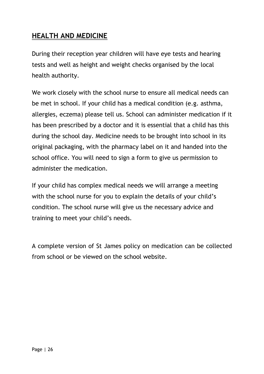### **HEALTH AND MEDICINE**

During their reception year children will have eye tests and hearing tests and well as height and weight checks organised by the local health authority.

We work closely with the school nurse to ensure all medical needs can be met in school. If your child has a medical condition (e.g. asthma, allergies, eczema) please tell us. School can administer medication if it has been prescribed by a doctor and it is essential that a child has this during the school day. Medicine needs to be brought into school in its original packaging, with the pharmacy label on it and handed into the school office. You will need to sign a form to give us permission to administer the medication.

If your child has complex medical needs we will arrange a meeting with the school nurse for you to explain the details of your child's condition. The school nurse will give us the necessary advice and training to meet your child's needs.

A complete version of St James policy on medication can be collected from school or be viewed on the school website.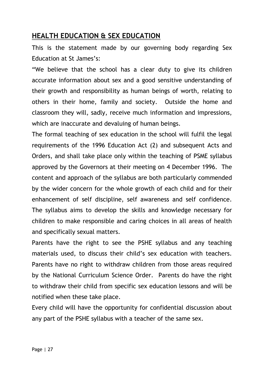#### **HEALTH EDUCATION & SEX EDUCATION**

This is the statement made by our governing body regarding Sex Education at St James's:

"We believe that the school has a clear duty to give its children accurate information about sex and a good sensitive understanding of their growth and responsibility as human beings of worth, relating to others in their home, family and society. Outside the home and classroom they will, sadly, receive much information and impressions, which are inaccurate and devaluing of human beings.

The formal teaching of sex education in the school will fulfil the legal requirements of the 1996 Education Act (2) and subsequent Acts and Orders, and shall take place only within the teaching of PSME syllabus approved by the Governors at their meeting on 4 December 1996. The content and approach of the syllabus are both particularly commended by the wider concern for the whole growth of each child and for their enhancement of self discipline, self awareness and self confidence. The syllabus aims to develop the skills and knowledge necessary for children to make responsible and caring choices in all areas of health and specifically sexual matters.

Parents have the right to see the PSHE syllabus and any teaching materials used, to discuss their child's sex education with teachers. Parents have no right to withdraw children from those areas required by the National Curriculum Science Order. Parents do have the right to withdraw their child from specific sex education lessons and will be notified when these take place.

Every child will have the opportunity for confidential discussion about any part of the PSHE syllabus with a teacher of the same sex.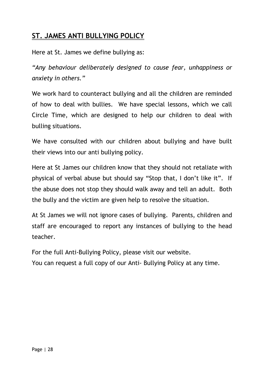### **ST. JAMES ANTI BULLYING POLICY**

Here at St. James we define bullying as:

*"Any behaviour deliberately designed to cause fear, unhappiness or anxiety in others."*

We work hard to counteract bullying and all the children are reminded of how to deal with bullies. We have special lessons, which we call Circle Time, which are designed to help our children to deal with bulling situations.

We have consulted with our children about bullying and have built their views into our anti bullying policy.

Here at St James our children know that they should not retaliate with physical of verbal abuse but should say "Stop that, I don't like it". If the abuse does not stop they should walk away and tell an adult. Both the bully and the victim are given help to resolve the situation.

At St James we will not ignore cases of bullying. Parents, children and staff are encouraged to report any instances of bullying to the head teacher.

For the full Anti-Bullying Policy, please visit our website.

You can request a full copy of our Anti- Bullying Policy at any time.